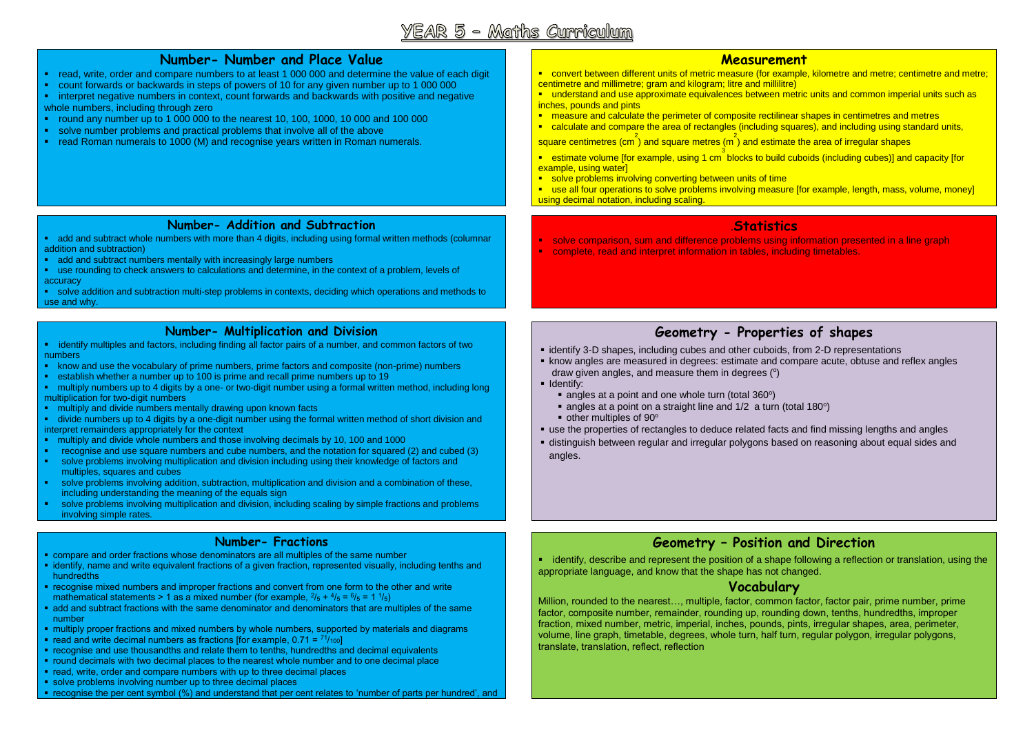## YEAR 5 - Maths Curriculum

## **Number- Number and Place Value** read, write, order and compare numbers to at least 1 000 000 and determine the value of each digit count forwards or backwards in steps of powers of 10 for any given number up to 1 000 000 interpret negative numbers in context, count forwards and backwards with positive and negative whole numbers, including through zero round any number up to 1 000 000 to the nearest 10, 100, 1000, 10 000 and 100 000 solve number problems and practical problems that involve all of the above read Roman numerals to 1000 (M) and recognise years written in Roman numerals. **Measurement** convert between different units of metric measure (for example, kilometre and metre; centimetre and metre; centimetre and millimetre; gram and kilogram; litre and millilitre) understand and use approximate equivalences between metric units and common imperial units such as inches, pounds and pints **n** measure and calculate the perimeter of composite rectilinear shapes in centimetres and metres calculate and compare the area of rectangles (including squares), and including using standard units, square centimetres (cm<sup>2</sup>) and square metres (m<sup>2</sup>) and estimate the area of irregular shapes  $\bar{\;\;}\;$  estimate volume [for example, using 1 cm $^3$  blocks to build cuboids (including cubes)] and capacity [for example, using water] solve problems involving converting between units of time use all four operations to solve problems involving measure [for example, length, mass, volume, money] using decimal notation, including scaling. **Number- Addition and Subtraction** add and subtract whole numbers with more than 4 digits, including using formal written methods (columnar addition and subtraction) add and subtract numbers mentally with increasingly large numbers use rounding to check answers to calculations and determine, in the context of a problem, levels of accuracy solve addition and subtraction multi-step problems in contexts, deciding which operations and methods to use and why. .**Statistics** solve comparison, sum and difference problems using information presented in a line graph complete, read and interpret information in tables, including timetables. **Number- Multiplication and Division** identify multiples and factors, including finding all factor pairs of a number, and common factors of two numbers **K** know and use the vocabulary of prime numbers, prime factors and composite (non-prime) numbers establish whether a number up to 100 is prime and recall prime numbers up to 19 multiply numbers up to 4 digits by a one- or two-digit number using a formal written method, including long multiplication for two-digit numbers multiply and divide numbers mentally drawing upon known facts divide numbers up to 4 digits by a one-digit number using the formal written method of short division and interpret remainders appropriately for the context multiply and divide whole numbers and those involving decimals by 10, 100 and 1000 recognise and use square numbers and cube numbers, and the notation for squared (2) and cubed (3) solve problems involving multiplication and division including using their knowledge of factors and multiples, squares and cubes solve problems involving addition, subtraction, multiplication and division and a combination of these, including understanding the meaning of the equals sign solve problems involving multiplication and division, including scaling by simple fractions and problems involving simple rates. **Geometry - Properties of shapes ·** identify 3-D shapes, including cubes and other cuboids, from 2-D representations know angles are measured in degrees: estimate and compare acute, obtuse and reflex angles draw given angles, and measure them in degrees  $(°)$  $\blacksquare$  Identify:  $\blacksquare$  angles at a point and one whole turn (total 360 $^{\circ}$ )  $\blacksquare$  angles at a point on a straight line and 1/2 a turn (total 180 $^{\circ}$ )  $\blacksquare$  other multiples of 90 $\rm ^o$  use the properties of rectangles to deduce related facts and find missing lengths and angles distinguish between regular and irregular polygons based on reasoning about equal sides and angles. **Number- Fractions** compare and order fractions whose denominators are all multiples of the same number **Geometry – Position and Direction**

- **Exercisive in the and write equivalent fractions of a given fraction, represented visually, including tenths and** hundredths
- **F** recognise mixed numbers and improper fractions and convert from one form to the other and write mathematical statements > 1 as a mixed number (for example,  $\frac{2}{5} + \frac{4}{5} = \frac{6}{5} = 1\frac{1}{5}$ )
- add and subtract fractions with the same denominator and denominators that are multiples of the same number
- multiply proper fractions and mixed numbers by whole numbers, supported by materials and diagrams
- read and write decimal numbers as fractions [for example,  $0.71 = \frac{71}{100}$ ]
- recognise and use thousandths and relate them to tenths, hundredths and decimal equivalents
- round decimals with two decimal places to the nearest whole number and to one decimal place
- read, write, order and compare numbers with up to three decimal places
- solve problems involving number up to three decimal places
- recognise the per cent symbol (%) and understand that per cent relates to 'number of parts per hundred', and

 identify, describe and represent the position of a shape following a reflection or translation, using the appropriate language, and know that the shape has not changed.

## **Vocabulary**

Million, rounded to the nearest…, multiple, factor, common factor, factor pair, prime number, prime factor, composite number, remainder, rounding up, rounding down, tenths, hundredths, improper fraction, mixed number, metric, imperial, inches, pounds, pints, irregular shapes, area, perimeter, volume, line graph, timetable, degrees, whole turn, half turn, regular polygon, irregular polygons, translate, translation, reflect, reflection